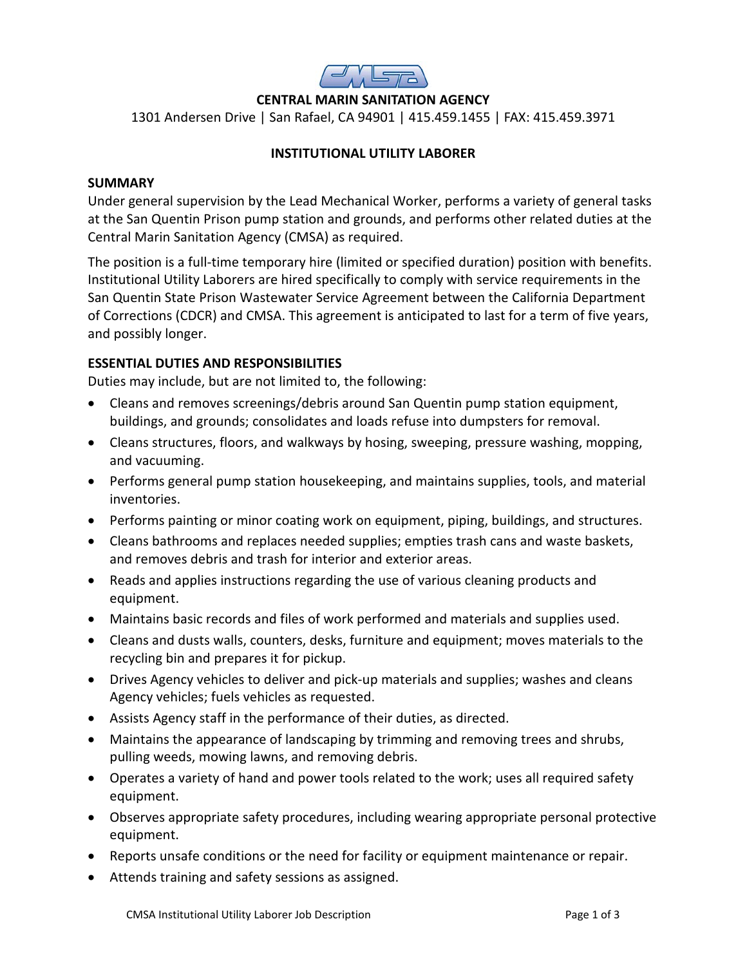

# **CENTRAL MARIN SANITATION AGENCY**

1301 Andersen Drive | San Rafael, CA 94901 | 415.459.1455 | FAX: 415.459.3971

# **INSTITUTIONAL UTILITY LABORER**

#### **SUMMARY**

Under general supervision by the Lead Mechanical Worker, performs a variety of general tasks at the San Quentin Prison pump station and grounds, and performs other related duties at the Central Marin Sanitation Agency (CMSA) as required.

The position is a full-time temporary hire (limited or specified duration) position with benefits. Institutional Utility Laborers are hired specifically to comply with service requirements in the San Quentin State Prison Wastewater Service Agreement between the California Department of Corrections (CDCR) and CMSA. This agreement is anticipated to last for a term of five years, and possibly longer.

# **ESSENTIAL DUTIES AND RESPONSIBILITIES**

Duties may include, but are not limited to, the following:

- Cleans and removes screenings/debris around San Quentin pump station equipment, buildings, and grounds; consolidates and loads refuse into dumpsters for removal.
- Cleans structures, floors, and walkways by hosing, sweeping, pressure washing, mopping, and vacuuming.
- Performs general pump station housekeeping, and maintains supplies, tools, and material inventories.
- Performs painting or minor coating work on equipment, piping, buildings, and structures.
- Cleans bathrooms and replaces needed supplies; empties trash cans and waste baskets, and removes debris and trash for interior and exterior areas.
- Reads and applies instructions regarding the use of various cleaning products and equipment.
- Maintains basic records and files of work performed and materials and supplies used.
- Cleans and dusts walls, counters, desks, furniture and equipment; moves materials to the recycling bin and prepares it for pickup.
- Drives Agency vehicles to deliver and pick-up materials and supplies; washes and cleans Agency vehicles; fuels vehicles as requested.
- Assists Agency staff in the performance of their duties, as directed.
- Maintains the appearance of landscaping by trimming and removing trees and shrubs, pulling weeds, mowing lawns, and removing debris.
- Operates a variety of hand and power tools related to the work; uses all required safety equipment.
- Observes appropriate safety procedures, including wearing appropriate personal protective equipment.
- Reports unsafe conditions or the need for facility or equipment maintenance or repair.
- Attends training and safety sessions as assigned.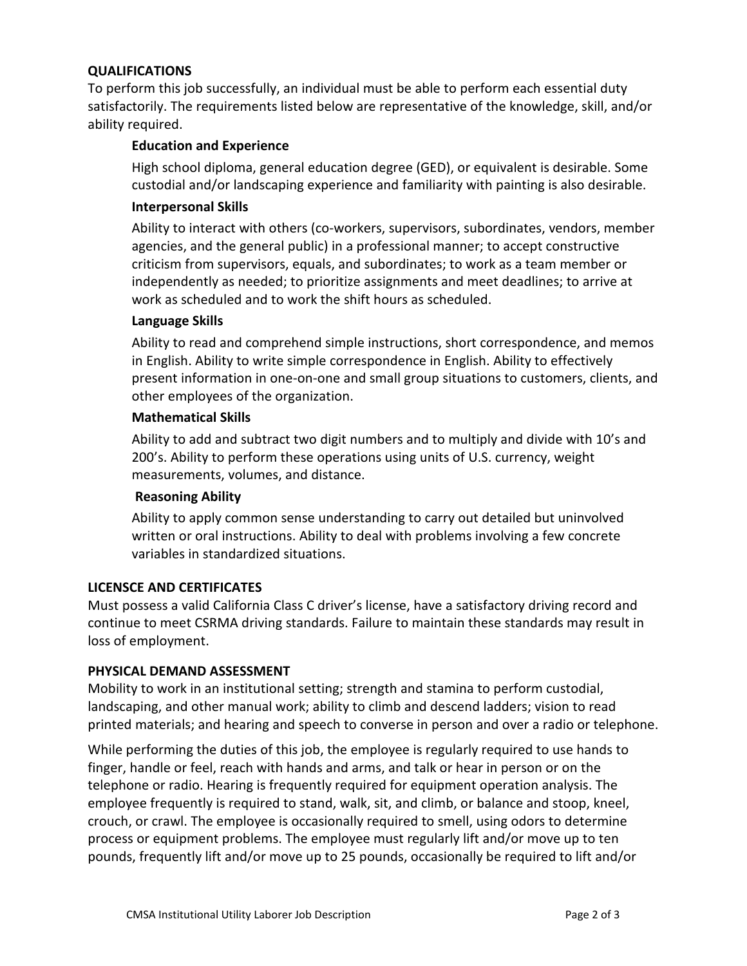### **QUALIFICATIONS**

To perform this job successfully, an individual must be able to perform each essential duty satisfactorily. The requirements listed below are representative of the knowledge, skill, and/or ability required.

### **Education and Experience**

High school diploma, general education degree (GED), or equivalent is desirable. Some custodial and/or landscaping experience and familiarity with painting is also desirable.

### **Interpersonal Skills**

Ability to interact with others (co-workers, supervisors, subordinates, vendors, member agencies, and the general public) in a professional manner; to accept constructive criticism from supervisors, equals, and subordinates; to work as a team member or independently as needed; to prioritize assignments and meet deadlines; to arrive at work as scheduled and to work the shift hours as scheduled.

### **Language Skills**

Ability to read and comprehend simple instructions, short correspondence, and memos in English. Ability to write simple correspondence in English. Ability to effectively present information in one-on-one and small group situations to customers, clients, and other employees of the organization.

### **Mathematical Skills**

Ability to add and subtract two digit numbers and to multiply and divide with 10's and 200's. Ability to perform these operations using units of U.S. currency, weight measurements, volumes, and distance.

### **Reasoning Ability**

Ability to apply common sense understanding to carry out detailed but uninvolved written or oral instructions. Ability to deal with problems involving a few concrete variables in standardized situations.

### **LICENSCE AND CERTIFICATES**

Must possess a valid California Class C driver's license, have a satisfactory driving record and continue to meet CSRMA driving standards. Failure to maintain these standards may result in loss of employment.

### **PHYSICAL DEMAND ASSESSMENT**

Mobility to work in an institutional setting; strength and stamina to perform custodial, landscaping, and other manual work; ability to climb and descend ladders; vision to read printed materials; and hearing and speech to converse in person and over a radio or telephone.

While performing the duties of this job, the employee is regularly required to use hands to finger, handle or feel, reach with hands and arms, and talk or hear in person or on the telephone or radio. Hearing is frequently required for equipment operation analysis. The employee frequently is required to stand, walk, sit, and climb, or balance and stoop, kneel, crouch, or crawl. The employee is occasionally required to smell, using odors to determine process or equipment problems. The employee must regularly lift and/or move up to ten pounds, frequently lift and/or move up to 25 pounds, occasionally be required to lift and/or